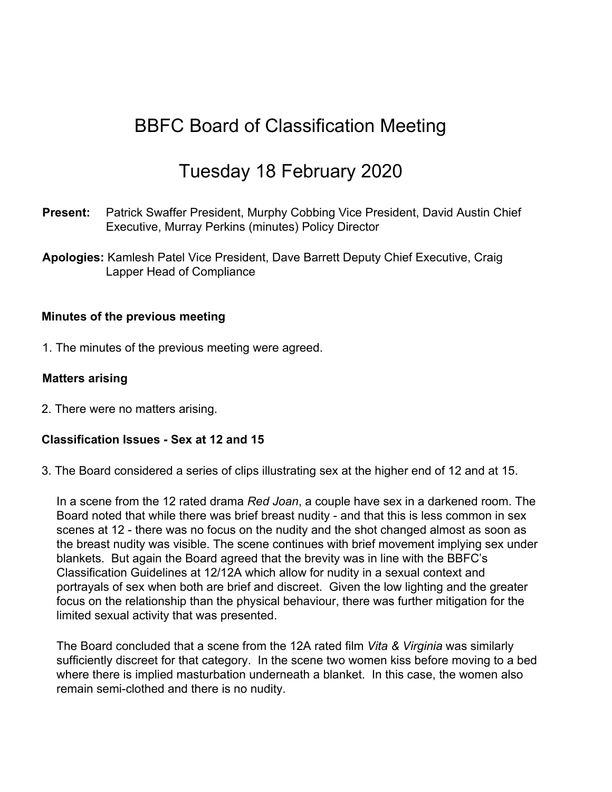# BBFC Board of Classification Meeting

## Tuesday 18 February 2020

- **Present:** Patrick Swaffer President, Murphy Cobbing Vice President, David Austin Chief Executive, Murray Perkins (minutes) Policy Director
- **Apologies:** Kamlesh Patel Vice President, Dave Barrett Deputy Chief Executive, Craig Lapper Head of Compliance

#### **Minutes of the previous meeting**

1. The minutes of the previous meeting were agreed.

#### **Matters arising**

2. There were no matters arising.

#### **Classification Issues - Sex at 12 and 15**

3. The Board considered a series of clips illustrating sex at the higher end of 12 and at 15.

In a scene from the 12 rated drama *Red Joan*, a couple have sex in a darkened room. The Board noted that while there was brief breast nudity - and that this is less common in sex scenes at 12 - there was no focus on the nudity and the shot changed almost as soon as the breast nudity was visible. The scene continues with brief movement implying sex under blankets. But again the Board agreed that the brevity was in line with the BBFC's Classification Guidelines at 12/12A which allow for nudity in a sexual context and portrayals of sex when both are brief and discreet. Given the low lighting and the greater focus on the relationship than the physical behaviour, there was further mitigation for the limited sexual activity that was presented.

The Board concluded that a scene from the 12A rated film *Vita & Virginia* was similarly sufficiently discreet for that category. In the scene two women kiss before moving to a bed where there is implied masturbation underneath a blanket. In this case, the women also remain semi-clothed and there is no nudity.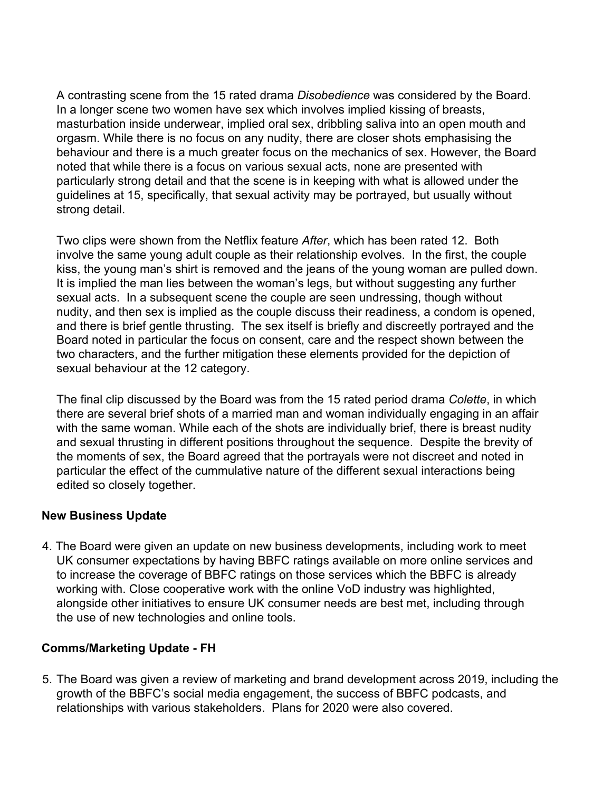A contrasting scene from the 15 rated drama *Disobedience* was considered by the Board. In a longer scene two women have sex which involves implied kissing of breasts, masturbation inside underwear, implied oral sex, dribbling saliva into an open mouth and orgasm. While there is no focus on any nudity, there are closer shots emphasising the behaviour and there is a much greater focus on the mechanics of sex. However, the Board noted that while there is a focus on various sexual acts, none are presented with particularly strong detail and that the scene is in keeping with what is allowed under the guidelines at 15, specifically, that sexual activity may be portrayed, but usually without strong detail.

Two clips were shown from the Netflix feature *After*, which has been rated 12. Both involve the same young adult couple as their relationship evolves. In the first, the couple kiss, the young man's shirt is removed and the jeans of the young woman are pulled down. It is implied the man lies between the woman's legs, but without suggesting any further sexual acts. In a subsequent scene the couple are seen undressing, though without nudity, and then sex is implied as the couple discuss their readiness, a condom is opened, and there is brief gentle thrusting. The sex itself is briefly and discreetly portrayed and the Board noted in particular the focus on consent, care and the respect shown between the two characters, and the further mitigation these elements provided for the depiction of sexual behaviour at the 12 category.

The final clip discussed by the Board was from the 15 rated period drama *Colette*, in which there are several brief shots of a married man and woman individually engaging in an affair with the same woman. While each of the shots are individually brief, there is breast nudity and sexual thrusting in different positions throughout the sequence. Despite the brevity of the moments of sex, the Board agreed that the portrayals were not discreet and noted in particular the effect of the cummulative nature of the different sexual interactions being edited so closely together.

#### **New Business Update**

4. The Board were given an update on new business developments, including work to meet UK consumer expectations by having BBFC ratings available on more online services and to increase the coverage of BBFC ratings on those services which the BBFC is already working with. Close cooperative work with the online VoD industry was highlighted, alongside other initiatives to ensure UK consumer needs are best met, including through the use of new technologies and online tools.

#### **Comms/Marketing Update - FH**

5. The Board was given a review of marketing and brand development across 2019, including the growth of the BBFC's social media engagement, the success of BBFC podcasts, and relationships with various stakeholders. Plans for 2020 were also covered.